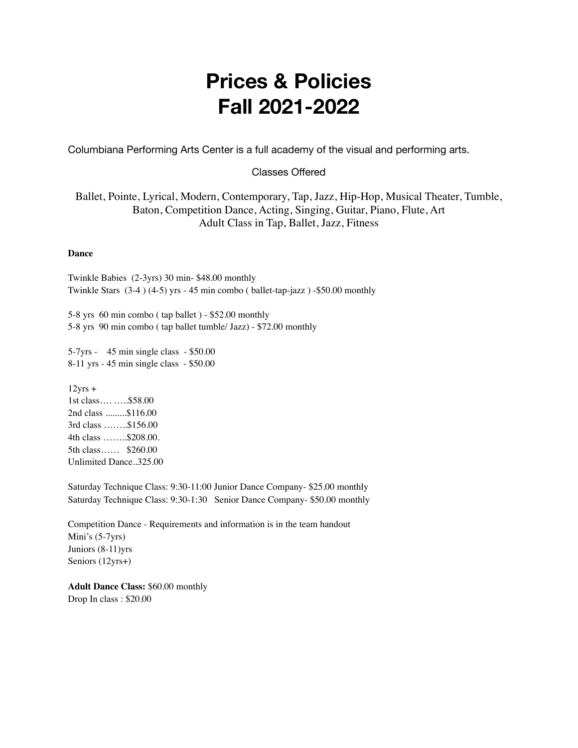## **Prices & Policies Fall 2021-2022**

Columbiana Performing Arts Center is a full academy of the visual and performing arts.

#### Classes Offered

Ballet, Pointe, Lyrical, Modern, Contemporary, Tap, Jazz, Hip-Hop, Musical Theater, Tumble, Baton, Competition Dance, Acting, Singing, Guitar, Piano, Flute, Art Adult Class in Tap, Ballet, Jazz, Fitness

#### **Dance**

Twinkle Babies (2-3yrs) 30 min- \$48.00 monthly Twinkle Stars (3-4 ) (4-5) yrs - 45 min combo ( ballet-tap-jazz ) -\$50.00 monthly

5-8 yrs 60 min combo ( tap ballet ) - \$52.00 monthly 5-8 yrs 90 min combo ( tap ballet tumble/ Jazz) - \$72.00 monthly

5-7yrs - 45 min single class - \$50.00 8-11 yrs - 45 min single class - \$50.00

 $12$ yrs + 1st class…. …..\$58.00 2nd class .........\$116.00 3rd class ……..\$156.00 4th class ……..\$208.00. 5th class…… \$260.00 Unlimited Dance..325.00

Saturday Technique Class: 9:30-11:00 Junior Dance Company- \$25.00 monthly Saturday Technique Class: 9:30-1:30 Senior Dance Company- \$50.00 monthly

Competition Dance - Requirements and information is in the team handout Mini's (5-7yrs) Juniors (8-11)yrs Seniors (12yrs+)

**Adult Dance Class:** \$60.00 monthly Drop In class : \$20.00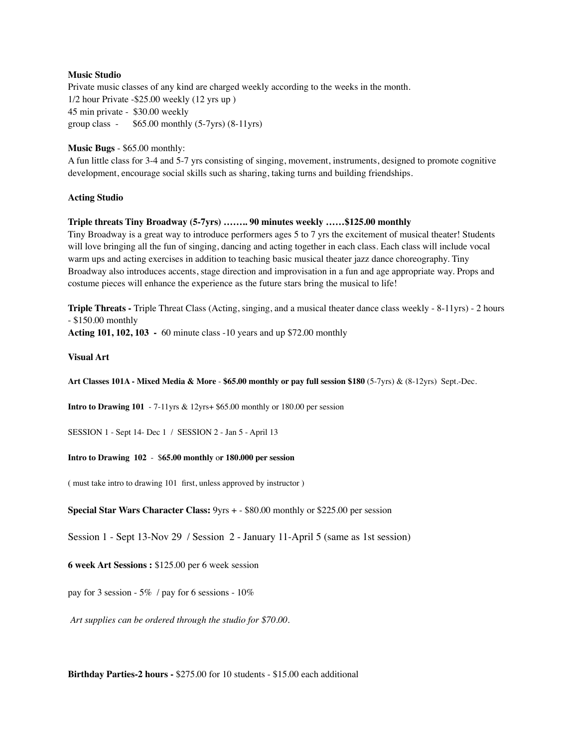#### **Music Studio**

Private music classes of any kind are charged weekly according to the weeks in the month. 1/2 hour Private -\$25.00 weekly (12 yrs up ) 45 min private - \$30.00 weekly group class -  $$65.00$  monthly  $(5-7yrs)$   $(8-11yrs)$ 

#### **Music Bugs** - \$65.00 monthly:

A fun little class for 3-4 and 5-7 yrs consisting of singing, movement, instruments, designed to promote cognitive development, encourage social skills such as sharing, taking turns and building friendships.

#### **Acting Studio**

#### **Triple threats Tiny Broadway (5-7yrs) …….. 90 minutes weekly ……\$125.00 monthly**

Tiny Broadway is a great way to introduce performers ages 5 to 7 yrs the excitement of musical theater! Students will love bringing all the fun of singing, dancing and acting together in each class. Each class will include vocal warm ups and acting exercises in addition to teaching basic musical theater jazz dance choreography. Tiny Broadway also introduces accents, stage direction and improvisation in a fun and age appropriate way. Props and costume pieces will enhance the experience as the future stars bring the musical to life!

**Triple Threats -** Triple Threat Class (Acting, singing, and a musical theater dance class weekly - 8-11yrs) - 2 hours - \$150.00 monthly

**Acting 101, 102, 103 -** 60 minute class -10 years and up \$72.00 monthly

#### **Visual Art**

**Art Classes 101A - Mixed Media & More** - **\$65.00 monthly or pay full session \$180** (5-7yrs) & (8-12yrs) Sept.-Dec.

**Intro to Drawing 101** - 7-11yrs & 12yrs+ \$65.00 monthly or 180.00 per session

SESSION 1 - Sept 14- Dec 1 / SESSION 2 - Jan 5 - April 13

#### **Intro to Drawing 102** - \$**65.00 monthly** o**r 180.000 per session**

( must take intro to drawing 101 first, unless approved by instructor )

**Special Star Wars Character Class:** 9yrs + - \$80.00 monthly or \$225.00 per session

Session 1 - Sept 13-Nov 29 / Session 2 - January 11-April 5 (same as 1st session)

#### **6 week Art Sessions :** \$125.00 per 6 week session

pay for 3 session - 5% / pay for 6 sessions - 10%

*Art supplies can be ordered through the studio for \$70.00.*

**Birthday Parties-2 hours -** \$275.00 for 10 students - \$15.00 each additional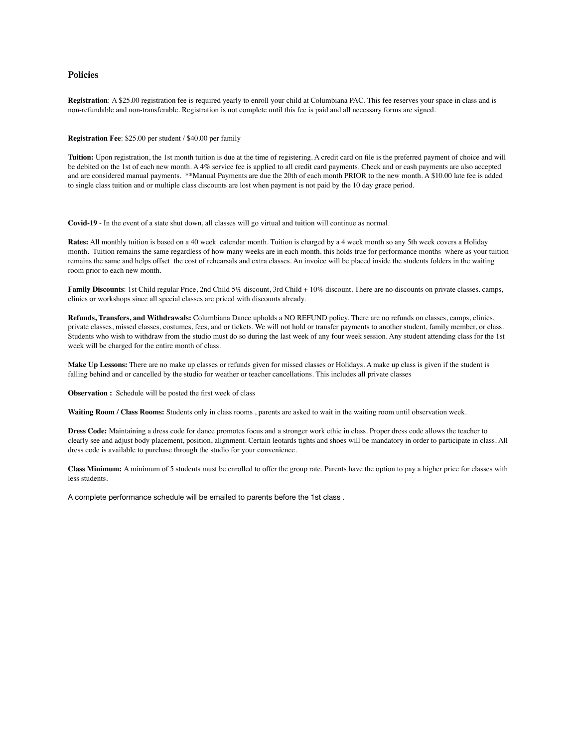#### **Policies**

**Registration**: A \$25.00 registration fee is required yearly to enroll your child at Columbiana PAC. This fee reserves your space in class and is non-refundable and non-transferable. Registration is not complete until this fee is paid and all necessary forms are signed.

**Registration Fee**: \$25.00 per student / \$40.00 per family

**Tuition:** Upon registration, the 1st month tuition is due at the time of registering. A credit card on file is the preferred payment of choice and will be debited on the 1st of each new month. A 4% service fee is applied to all credit card payments. Check and or cash payments are also accepted and are considered manual payments. \*\*Manual Payments are due the 20th of each month PRIOR to the new month. A \$10.00 late fee is added to single class tuition and or multiple class discounts are lost when payment is not paid by the 10 day grace period.

**Covid-19** - In the event of a state shut down, all classes will go virtual and tuition will continue as normal.

**Rates:** All monthly tuition is based on a 40 week calendar month. Tuition is charged by a 4 week month so any 5th week covers a Holiday month. Tuition remains the same regardless of how many weeks are in each month. this holds true for performance months where as your tuition remains the same and helps offset the cost of rehearsals and extra classes. An invoice will be placed inside the students folders in the waiting room prior to each new month.

**Family Discounts**: 1st Child regular Price, 2nd Child 5% discount, 3rd Child + 10% discount. There are no discounts on private classes. camps, clinics or workshops since all special classes are priced with discounts already.

**Refunds, Transfers, and Withdrawals:** Columbiana Dance upholds a NO REFUND policy. There are no refunds on classes, camps, clinics, private classes, missed classes, costumes, fees, and or tickets. We will not hold or transfer payments to another student, family member, or class. Students who wish to withdraw from the studio must do so during the last week of any four week session. Any student attending class for the 1st week will be charged for the entire month of class.

**Make Up Lessons:** There are no make up classes or refunds given for missed classes or Holidays. A make up class is given if the student is falling behind and or cancelled by the studio for weather or teacher cancellations. This includes all private classes

**Observation :** Schedule will be posted the first week of class

**Waiting Room / Class Rooms:** Students only in class rooms , parents are asked to wait in the waiting room until observation week.

**Dress Code:** Maintaining a dress code for dance promotes focus and a stronger work ethic in class. Proper dress code allows the teacher to clearly see and adjust body placement, position, alignment. Certain leotards tights and shoes will be mandatory in order to participate in class. All dress code is available to purchase through the studio for your convenience.

**Class Minimum:** A minimum of 5 students must be enrolled to offer the group rate. Parents have the option to pay a higher price for classes with less students.

A complete performance schedule will be emailed to parents before the 1st class .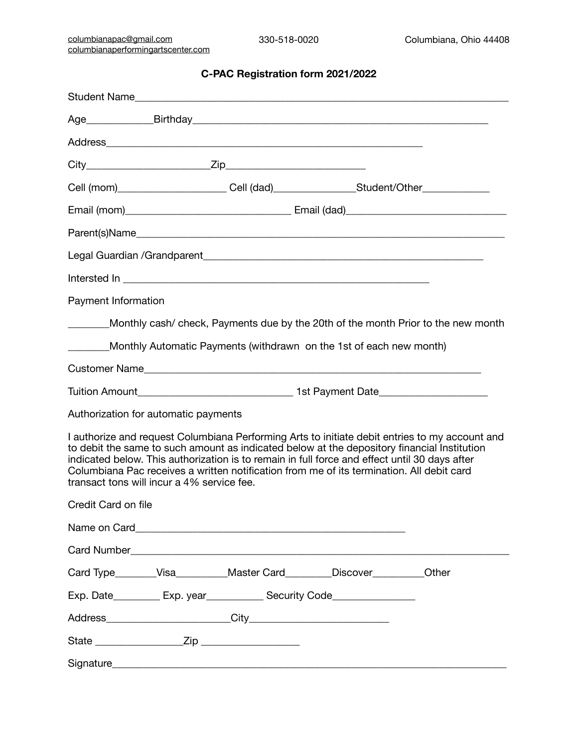#### **C-PAC Registration form 2021/2022**

|                     |                                            |                                                                                                                                                                                                                                                                                           |  | Cell (mom)________________________Cell (dad)___________________Student/Other_______________________ |
|---------------------|--------------------------------------------|-------------------------------------------------------------------------------------------------------------------------------------------------------------------------------------------------------------------------------------------------------------------------------------------|--|-----------------------------------------------------------------------------------------------------|
|                     |                                            |                                                                                                                                                                                                                                                                                           |  |                                                                                                     |
|                     |                                            |                                                                                                                                                                                                                                                                                           |  |                                                                                                     |
|                     |                                            |                                                                                                                                                                                                                                                                                           |  |                                                                                                     |
|                     |                                            |                                                                                                                                                                                                                                                                                           |  |                                                                                                     |
| Payment Information |                                            |                                                                                                                                                                                                                                                                                           |  |                                                                                                     |
|                     |                                            |                                                                                                                                                                                                                                                                                           |  | Monthly cash/ check, Payments due by the 20th of the month Prior to the new month                   |
|                     |                                            | Monthly Automatic Payments (withdrawn on the 1st of each new month)                                                                                                                                                                                                                       |  |                                                                                                     |
|                     |                                            | Customer Name                                                                                                                                                                                                                                                                             |  |                                                                                                     |
|                     |                                            |                                                                                                                                                                                                                                                                                           |  | Tuition Amount___________________________________1st Payment Date_______________                    |
|                     | Authorization for automatic payments       |                                                                                                                                                                                                                                                                                           |  |                                                                                                     |
|                     | transact tons will incur a 4% service fee. | to debit the same to such amount as indicated below at the depository financial Institution<br>indicated below. This authorization is to remain in full force and effect until 30 days after<br>Columbiana Pac receives a written notification from me of its termination. All debit card |  | I authorize and request Columbiana Performing Arts to initiate debit entries to my account and      |
| Credit Card on file |                                            |                                                                                                                                                                                                                                                                                           |  |                                                                                                     |
|                     |                                            |                                                                                                                                                                                                                                                                                           |  |                                                                                                     |
|                     |                                            |                                                                                                                                                                                                                                                                                           |  |                                                                                                     |
|                     |                                            | Card Type________Visa___________Master Card_________Discover__________Other                                                                                                                                                                                                               |  |                                                                                                     |
|                     |                                            | Exp. Date___________ Exp. year______________ Security Code______________________                                                                                                                                                                                                          |  |                                                                                                     |
|                     |                                            |                                                                                                                                                                                                                                                                                           |  |                                                                                                     |
|                     |                                            |                                                                                                                                                                                                                                                                                           |  |                                                                                                     |
|                     |                                            |                                                                                                                                                                                                                                                                                           |  |                                                                                                     |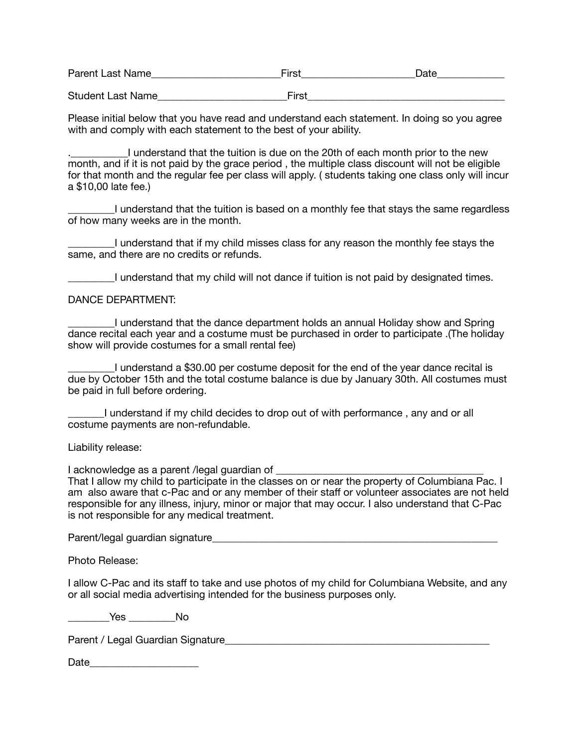| Parent Last Name         | ⊑irst | Date |
|--------------------------|-------|------|
|                          |       |      |
| <b>Student Last Name</b> | First |      |

Please initial below that you have read and understand each statement. In doing so you agree with and comply with each statement to the best of your ability.

I understand that the tuition is due on the 20th of each month prior to the new month, and if it is not paid by the grace period , the multiple class discount will not be eligible for that month and the regular fee per class will apply. ( students taking one class only will incur a \$10,00 late fee.)

I understand that the tuition is based on a monthly fee that stays the same regardless of how many weeks are in the month.

\_\_\_\_\_\_\_\_\_I understand that if my child misses class for any reason the monthly fee stays the same, and there are no credits or refunds.

\_\_\_\_\_\_\_\_\_I understand that my child will not dance if tuition is not paid by designated times.

DANCE DEPARTMENT:

\_\_\_\_\_\_\_\_\_I understand that the dance department holds an annual Holiday show and Spring dance recital each year and a costume must be purchased in order to participate .(The holiday show will provide costumes for a small rental fee)

\_\_\_\_\_\_\_\_\_I understand a \$30.00 per costume deposit for the end of the year dance recital is due by October 15th and the total costume balance is due by January 30th. All costumes must be paid in full before ordering.

I understand if my child decides to drop out of with performance, any and or all costume payments are non-refundable.

Liability release:

I acknowledge as a parent /legal guardian of

That I allow my child to participate in the classes on or near the property of Columbiana Pac. I am also aware that c-Pac and or any member of their staff or volunteer associates are not held responsible for any illness, injury, minor or major that may occur. I also understand that C-Pac is not responsible for any medical treatment.

Parent/legal guardian signature

Photo Release:

I allow C-Pac and its staff to take and use photos of my child for Columbiana Website, and any or all social media advertising intended for the business purposes only.

\_\_\_\_\_\_\_\_Yes \_\_\_\_\_\_\_\_\_No

Parent / Legal Guardian Signature\_\_\_\_\_\_\_\_\_\_\_\_\_\_\_\_\_\_\_\_\_\_\_\_\_\_\_\_\_\_\_\_\_\_\_\_\_\_\_\_\_\_\_\_\_\_\_\_\_\_\_

Date **Date**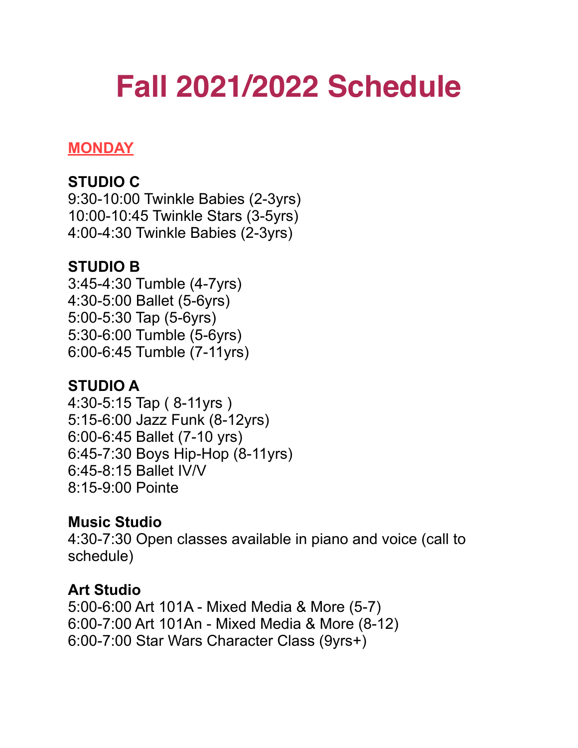# **Fall 2021/2022 Schedule**

#### **MONDAY**

### **STUDIO C**

9:30-10:00 Twinkle Babies (2-3yrs) 10:00-10:45 Twinkle Stars (3-5yrs) 4:00-4:30 Twinkle Babies (2-3yrs)

#### **STUDIO B**

3:45-4:30 Tumble (4-7yrs) 4:30-5:00 Ballet (5-6yrs) 5:00-5:30 Tap (5-6yrs) 5:30-6:00 Tumble (5-6yrs) 6:00-6:45 Tumble (7-11yrs)

### **STUDIO A**

4:30-5:15 Tap ( 8-11yrs ) 5:15-6:00 Jazz Funk (8-12yrs) 6:00-6:45 Ballet (7-10 yrs) 6:45-7:30 Boys Hip-Hop (8-11yrs) 6:45-8:15 Ballet IV/V 8:15-9:00 Pointe

### **Music Studio**

4:30-7:30 Open classes available in piano and voice (call to schedule)

#### **Art Studio**

5:00-6:00 Art 101A - Mixed Media & More (5-7) 6:00-7:00 Art 101An - Mixed Media & More (8-12) 6:00-7:00 Star Wars Character Class (9yrs+)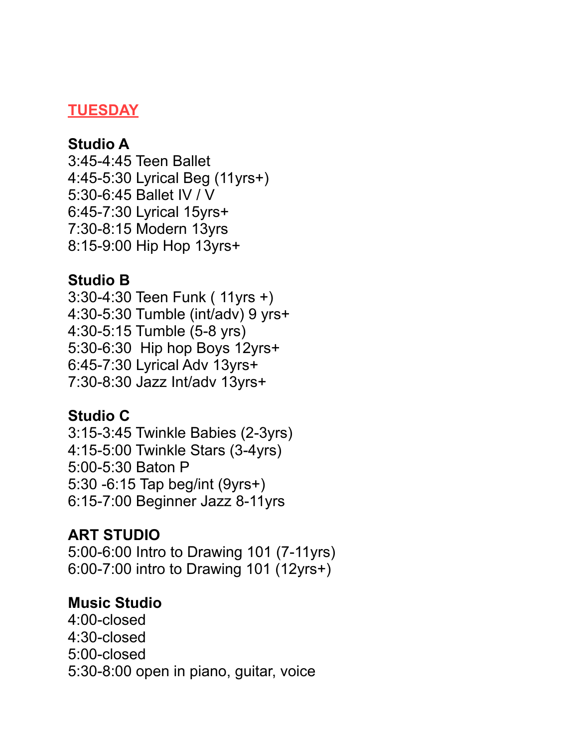#### **TUESDAY**

#### **Studio A**

3:45-4:45 Teen Ballet 4:45-5:30 Lyrical Beg (11yrs+) 5:30-6:45 Ballet IV / V 6:45-7:30 Lyrical 15yrs+ 7:30-8:15 Modern 13yrs 8:15-9:00 Hip Hop 13yrs+

#### **Studio B**

3:30-4:30 Teen Funk ( 11yrs +) 4:30-5:30 Tumble (int/adv) 9 yrs+ 4:30-5:15 Tumble (5-8 yrs) 5:30-6:30 Hip hop Boys 12yrs+ 6:45-7:30 Lyrical Adv 13yrs+ 7:30-8:30 Jazz Int/adv 13yrs+

#### **Studio C**

3:15-3:45 Twinkle Babies (2-3yrs) 4:15-5:00 Twinkle Stars (3-4yrs) 5:00-5:30 Baton P 5:30 -6:15 Tap beg/int (9yrs+) 6:15-7:00 Beginner Jazz 8-11yrs

#### **ART STUDIO**

5:00-6:00 Intro to Drawing 101 (7-11yrs) 6:00-7:00 intro to Drawing 101 (12yrs+)

#### **Music Studio**

4:00-closed 4:30-closed 5:00-closed 5:30-8:00 open in piano, guitar, voice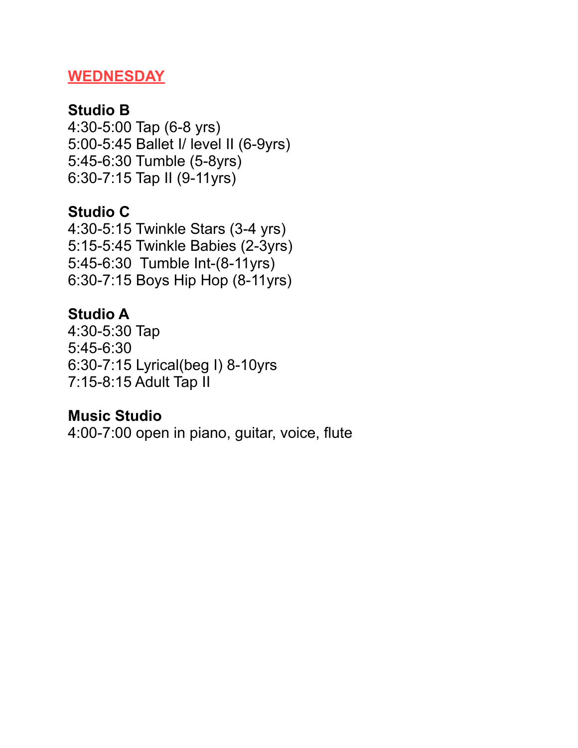#### **WEDNESDAY**

### **Studio B**

4:30-5:00 Tap (6-8 yrs) 5:00-5:45 Ballet I/ level II (6-9yrs) 5:45-6:30 Tumble (5-8yrs) 6:30-7:15 Tap II (9-11yrs)

### **Studio C**

4:30-5:15 Twinkle Stars (3-4 yrs) 5:15-5:45 Twinkle Babies (2-3yrs) 5:45-6:30 Tumble Int-(8-11yrs) 6:30-7:15 Boys Hip Hop (8-11yrs)

### **Studio A**

4:30-5:30 Tap 5:45-6:30 6:30-7:15 Lyrical(beg I) 8-10yrs 7:15-8:15 Adult Tap II

### **Music Studio**

4:00-7:00 open in piano, guitar, voice, flute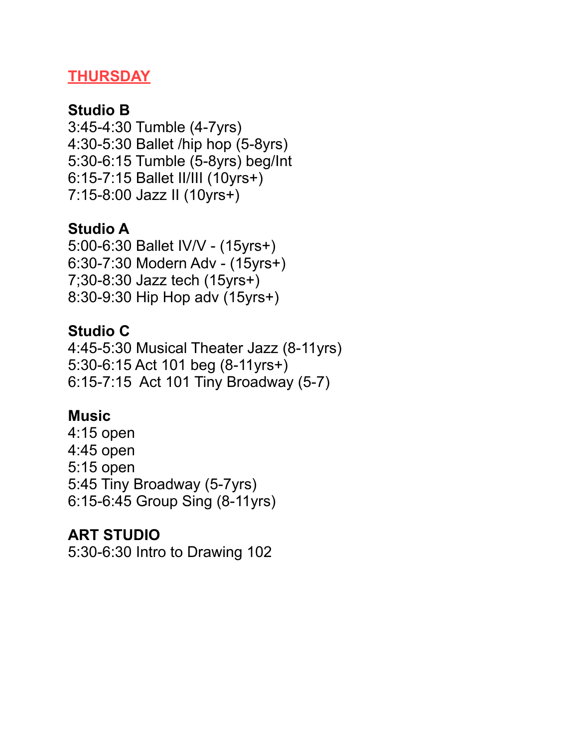### **THURSDAY**

### **Studio B**

3:45-4:30 Tumble (4-7yrs) 4:30-5:30 Ballet /hip hop (5-8yrs) 5:30-6:15 Tumble (5-8yrs) beg/Int 6:15-7:15 Ballet II/III (10yrs+) 7:15-8:00 Jazz II (10yrs+)

### **Studio A**

5:00-6:30 Ballet IV/V - (15yrs+) 6:30-7:30 Modern Adv - (15yrs+) 7;30-8:30 Jazz tech (15yrs+) 8:30-9:30 Hip Hop adv (15yrs+)

#### **Studio C**

4:45-5:30 Musical Theater Jazz (8-11yrs) 5:30-6:15 Act 101 beg (8-11yrs+) 6:15-7:15 Act 101 Tiny Broadway (5-7)

### **Music**

4:15 open 4:45 open 5:15 open 5:45 Tiny Broadway (5-7yrs) 6:15-6:45 Group Sing (8-11yrs)

### **ART STUDIO**

5:30-6:30 Intro to Drawing 102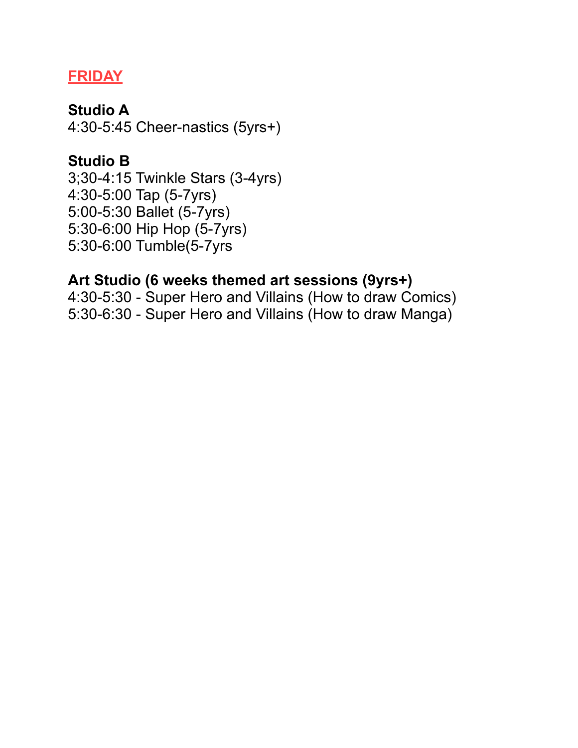### **FRIDAY**

#### **Studio A**

4:30-5:45 Cheer-nastics (5yrs+)

### **Studio B**

3;30-4:15 Twinkle Stars (3-4yrs) 4:30-5:00 Tap (5-7yrs) 5:00-5:30 Ballet (5-7yrs) 5:30-6:00 Hip Hop (5-7yrs) 5:30-6:00 Tumble(5-7yrs

### **Art Studio (6 weeks themed art sessions (9yrs+)**

4:30-5:30 - Super Hero and Villains (How to draw Comics) 5:30-6:30 - Super Hero and Villains (How to draw Manga)